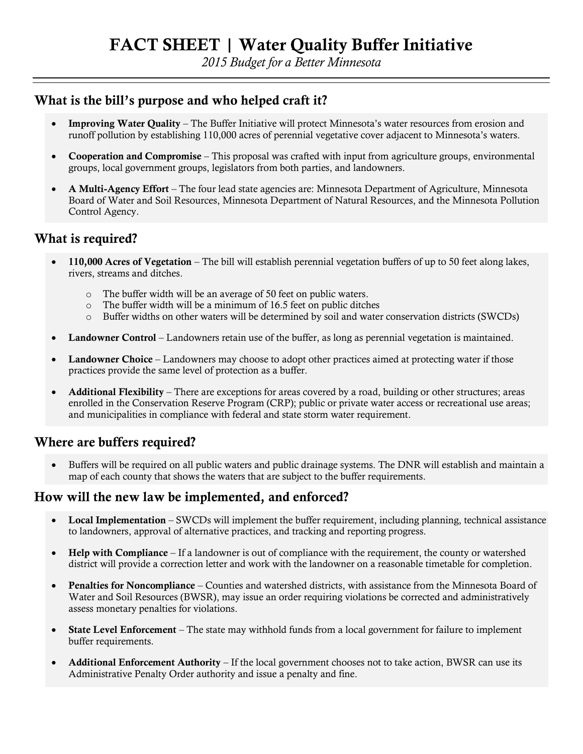*2015 Budget for a Better Minnesota*

#### **What is the bill's purpose and who helped craft it?**

- **Improving Water Quality** The Buffer Initiative will protect Minnesota's water resources from erosion and runoff pollution by establishing 110,000 acres of perennial vegetative cover adjacent to Minnesota's waters.
- **Cooperation and Compromise** This proposal was crafted with input from agriculture groups, environmental groups, local government groups, legislators from both parties, and landowners.
- **A Multi-Agency Effort** The four lead state agencies are: Minnesota Department of Agriculture, Minnesota Board of Water and Soil Resources, Minnesota Department of Natural Resources, and the Minnesota Pollution Control Agency.

## **What is required?**

- **110,000 Acres of Vegetation** The bill will establish perennial vegetation buffers of up to 50 feet along lakes, rivers, streams and ditches.
	- o The buffer width will be an average of 50 feet on public waters.
	- o The buffer width will be a minimum of 16.5 feet on public ditches
	- o Buffer widths on other waters will be determined by soil and water conservation districts (SWCDs)
- **Landowner Control** Landowners retain use of the buffer, as long as perennial vegetation is maintained.
- **Landowner Choice** Landowners may choose to adopt other practices aimed at protecting water if those practices provide the same level of protection as a buffer.
- **Additional Flexibility** There are exceptions for areas covered by a road, building or other structures; areas enrolled in the Conservation Reserve Program (CRP); public or private water access or recreational use areas; and municipalities in compliance with federal and state storm water requirement.

# **Where are buffers required?**

 Buffers will be required on all public waters and public drainage systems. The DNR will establish and maintain a map of each county that shows the waters that are subject to the buffer requirements.

#### **How will the new law be implemented, and enforced?**

- **Local Implementation** SWCDs will implement the buffer requirement, including planning, technical assistance to landowners, approval of alternative practices, and tracking and reporting progress.
- **Help with Compliance** If a landowner is out of compliance with the requirement, the county or watershed district will provide a correction letter and work with the landowner on a reasonable timetable for completion.
- **Penalties for Noncompliance** Counties and watershed districts, with assistance from the Minnesota Board of Water and Soil Resources (BWSR), may issue an order requiring violations be corrected and administratively assess monetary penalties for violations.
- **State Level Enforcement** The state may withhold funds from a local government for failure to implement buffer requirements.
- **Additional Enforcement Authority** If the local government chooses not to take action, BWSR can use its Administrative Penalty Order authority and issue a penalty and fine.